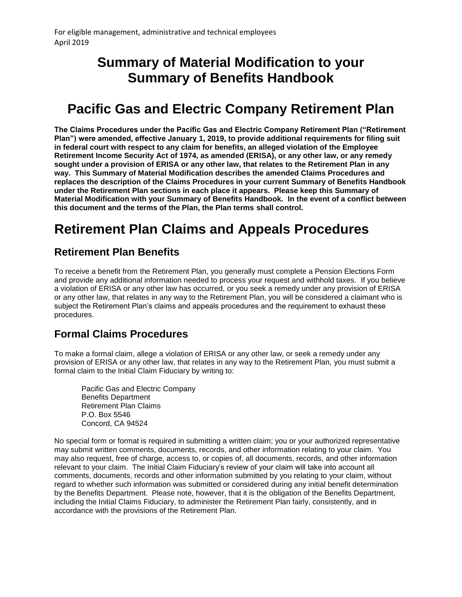### **Summary of Material Modification to your Summary of Benefits Handbook**

# **Pacific Gas and Electric Company Retirement Plan**

**The Claims Procedures under the Pacific Gas and Electric Company Retirement Plan ("Retirement Plan") were amended, effective January 1, 2019, to provide additional requirements for filing suit in federal court with respect to any claim for benefits, an alleged violation of the Employee Retirement Income Security Act of 1974, as amended (ERISA), or any other law, or any remedy sought under a provision of ERISA or any other law, that relates to the Retirement Plan in any way. This Summary of Material Modification describes the amended Claims Procedures and replaces the description of the Claims Procedures in your current Summary of Benefits Handbook under the Retirement Plan sections in each place it appears. Please keep this Summary of Material Modification with your Summary of Benefits Handbook. In the event of a conflict between this document and the terms of the Plan, the Plan terms shall control.**

# **Retirement Plan Claims and Appeals Procedures**

#### **Retirement Plan Benefits**

To receive a benefit from the Retirement Plan, you generally must complete a Pension Elections Form and provide any additional information needed to process your request and withhold taxes. If you believe a violation of ERISA or any other law has occurred, or you seek a remedy under any provision of ERISA or any other law, that relates in any way to the Retirement Plan, you will be considered a claimant who is subject the Retirement Plan's claims and appeals procedures and the requirement to exhaust these procedures.

#### **Formal Claims Procedures**

To make a formal claim, allege a violation of ERISA or any other law, or seek a remedy under any provision of ERISA or any other law, that relates in any way to the Retirement Plan, you must submit a formal claim to the Initial Claim Fiduciary by writing to:

Pacific Gas and Electric Company Benefits Department Retirement Plan Claims P.O. Box 5546 Concord, CA 94524

No special form or format is required in submitting a written claim; you or your authorized representative may submit written comments, documents, records, and other information relating to your claim. You may also request, free of charge, access to, or copies of, all documents, records, and other information relevant to your claim. The Initial Claim Fiduciary's review of your claim will take into account all comments, documents, records and other information submitted by you relating to your claim, without regard to whether such information was submitted or considered during any initial benefit determination by the Benefits Department. Please note, however, that it is the obligation of the Benefits Department, including the Initial Claims Fiduciary, to administer the Retirement Plan fairly, consistently, and in accordance with the provisions of the Retirement Plan.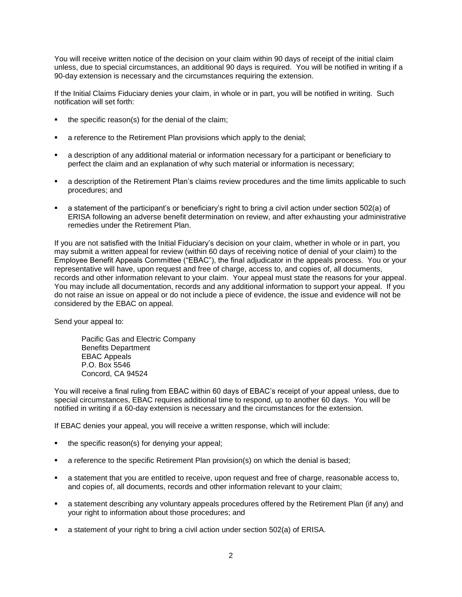You will receive written notice of the decision on your claim within 90 days of receipt of the initial claim unless, due to special circumstances, an additional 90 days is required. You will be notified in writing if a 90-day extension is necessary and the circumstances requiring the extension.

If the Initial Claims Fiduciary denies your claim, in whole or in part, you will be notified in writing. Such notification will set forth:

- the specific reason(s) for the denial of the claim;
- a reference to the Retirement Plan provisions which apply to the denial;
- a description of any additional material or information necessary for a participant or beneficiary to perfect the claim and an explanation of why such material or information is necessary;
- a description of the Retirement Plan's claims review procedures and the time limits applicable to such procedures; and
- a statement of the participant's or beneficiary's right to bring a civil action under section 502(a) of ERISA following an adverse benefit determination on review, and after exhausting your administrative remedies under the Retirement Plan.

If you are not satisfied with the Initial Fiduciary's decision on your claim, whether in whole or in part, you may submit a written appeal for review (within 60 days of receiving notice of denial of your claim) to the Employee Benefit Appeals Committee ("EBAC"), the final adjudicator in the appeals process. You or your representative will have, upon request and free of charge, access to, and copies of, all documents, records and other information relevant to your claim. Your appeal must state the reasons for your appeal. You may include all documentation, records and any additional information to support your appeal. If you do not raise an issue on appeal or do not include a piece of evidence, the issue and evidence will not be considered by the EBAC on appeal.

Send your appeal to:

Pacific Gas and Electric Company Benefits Department EBAC Appeals P.O. Box 5546 Concord, CA 94524

You will receive a final ruling from EBAC within 60 days of EBAC's receipt of your appeal unless, due to special circumstances, EBAC requires additional time to respond, up to another 60 days. You will be notified in writing if a 60-day extension is necessary and the circumstances for the extension.

If EBAC denies your appeal, you will receive a written response, which will include:

- the specific reason(s) for denying your appeal;
- a reference to the specific Retirement Plan provision(s) on which the denial is based;
- a statement that you are entitled to receive, upon request and free of charge, reasonable access to, and copies of, all documents, records and other information relevant to your claim;
- a statement describing any voluntary appeals procedures offered by the Retirement Plan (if any) and your right to information about those procedures; and
- a statement of your right to bring a civil action under section 502(a) of ERISA.